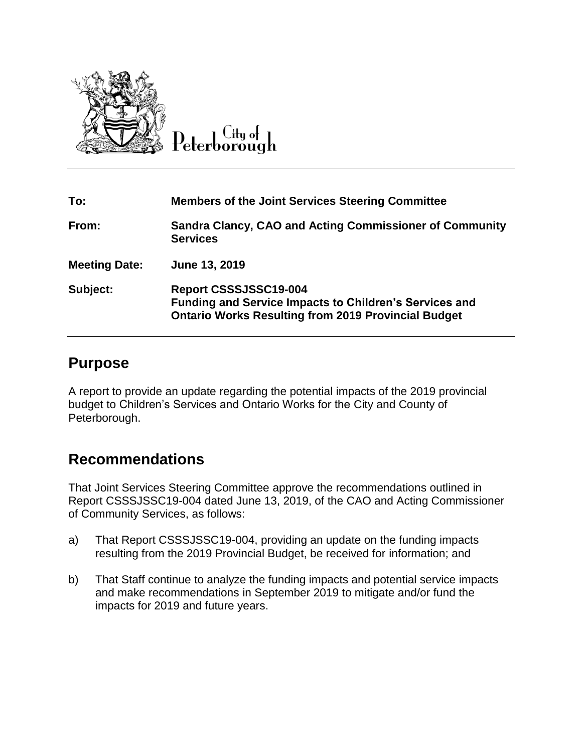

 $C$ ity of Peterborough

| To:                  | <b>Members of the Joint Services Steering Committee</b>                                                                                              |
|----------------------|------------------------------------------------------------------------------------------------------------------------------------------------------|
| From:                | <b>Sandra Clancy, CAO and Acting Commissioner of Community</b><br><b>Services</b>                                                                    |
| <b>Meeting Date:</b> | June 13, 2019                                                                                                                                        |
| Subject:             | Report CSSSJSSC19-004<br><b>Funding and Service Impacts to Children's Services and</b><br><b>Ontario Works Resulting from 2019 Provincial Budget</b> |

## **Purpose**

A report to provide an update regarding the potential impacts of the 2019 provincial budget to Children's Services and Ontario Works for the City and County of Peterborough.

# **Recommendations**

That Joint Services Steering Committee approve the recommendations outlined in Report CSSSJSSC19-004 dated June 13, 2019, of the CAO and Acting Commissioner of Community Services, as follows:

- a) That Report CSSSJSSC19-004, providing an update on the funding impacts resulting from the 2019 Provincial Budget, be received for information; and
- b) That Staff continue to analyze the funding impacts and potential service impacts and make recommendations in September 2019 to mitigate and/or fund the impacts for 2019 and future years.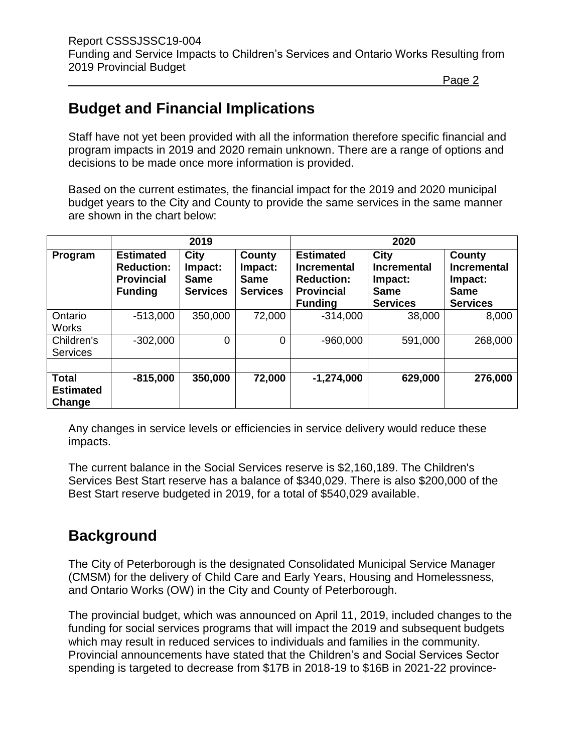# **Budget and Financial Implications**

Staff have not yet been provided with all the information therefore specific financial and program impacts in 2019 and 2020 remain unknown. There are a range of options and decisions to be made once more information is provided.

Based on the current estimates, the financial impact for the 2019 and 2020 municipal budget years to the City and County to provide the same services in the same manner are shown in the chart below:

|                                            | 2019                                                                         |                                                   |                                                     | 2020                                                                                               |                                                                         |                                                                           |  |
|--------------------------------------------|------------------------------------------------------------------------------|---------------------------------------------------|-----------------------------------------------------|----------------------------------------------------------------------------------------------------|-------------------------------------------------------------------------|---------------------------------------------------------------------------|--|
| Program                                    | <b>Estimated</b><br><b>Reduction:</b><br><b>Provincial</b><br><b>Funding</b> | City<br>Impact:<br><b>Same</b><br><b>Services</b> | County<br>Impact:<br><b>Same</b><br><b>Services</b> | <b>Estimated</b><br><b>Incremental</b><br><b>Reduction:</b><br><b>Provincial</b><br><b>Funding</b> | City<br><b>Incremental</b><br>Impact:<br><b>Same</b><br><b>Services</b> | County<br><b>Incremental</b><br>Impact:<br><b>Same</b><br><b>Services</b> |  |
| Ontario<br><b>Works</b>                    | $-513,000$                                                                   | 350,000                                           | 72,000                                              | $-314,000$                                                                                         | 38,000                                                                  | 8,000                                                                     |  |
| Children's<br><b>Services</b>              | $-302,000$                                                                   | 0                                                 | $\Omega$                                            | $-960,000$                                                                                         | 591,000                                                                 | 268,000                                                                   |  |
| <b>Total</b><br><b>Estimated</b><br>Change | $-815,000$                                                                   | 350,000                                           | 72,000                                              | $-1,274,000$                                                                                       | 629,000                                                                 | 276,000                                                                   |  |

Any changes in service levels or efficiencies in service delivery would reduce these impacts.

The current balance in the Social Services reserve is \$2,160,189. The Children's Services Best Start reserve has a balance of \$340,029. There is also \$200,000 of the Best Start reserve budgeted in 2019, for a total of \$540,029 available.

# **Background**

The City of Peterborough is the designated Consolidated Municipal Service Manager (CMSM) for the delivery of Child Care and Early Years, Housing and Homelessness, and Ontario Works (OW) in the City and County of Peterborough.

The provincial budget, which was announced on April 11, 2019, included changes to the funding for social services programs that will impact the 2019 and subsequent budgets which may result in reduced services to individuals and families in the community. Provincial announcements have stated that the Children's and Social Services Sector spending is targeted to decrease from \$17B in 2018-19 to \$16B in 2021-22 province-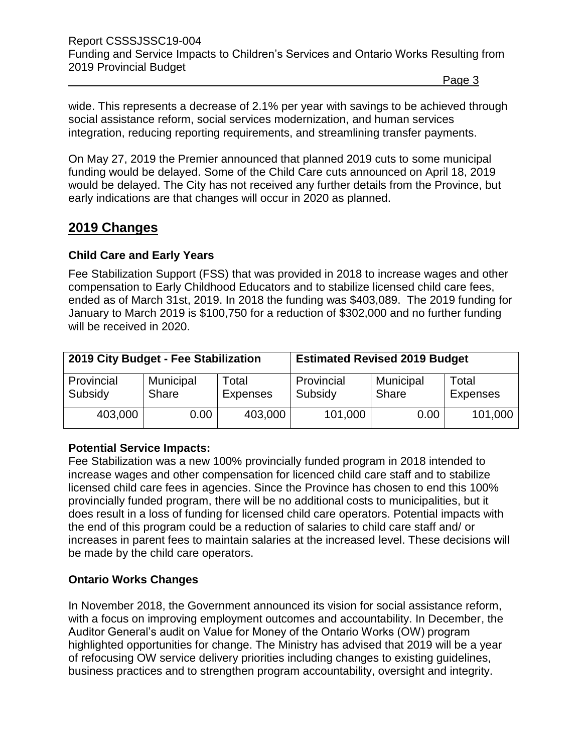Report CSSSJSSC19-004 Funding and Service Impacts to Children's Services and Ontario Works Resulting from 2019 Provincial Budget

Page 3

wide. This represents a decrease of 2.1% per year with savings to be achieved through social assistance reform, social services modernization, and human services integration, reducing reporting requirements, and streamlining transfer payments.

On May 27, 2019 the Premier announced that planned 2019 cuts to some municipal funding would be delayed. Some of the Child Care cuts announced on April 18, 2019 would be delayed. The City has not received any further details from the Province, but early indications are that changes will occur in 2020 as planned.

## **2019 Changes**

## **Child Care and Early Years**

Fee Stabilization Support (FSS) that was provided in 2018 to increase wages and other compensation to Early Childhood Educators and to stabilize licensed child care fees, ended as of March 31st, 2019. In 2018 the funding was \$403,089. The 2019 funding for January to March 2019 is \$100,750 for a reduction of \$302,000 and no further funding will be received in 2020.

| 2019 City Budget - Fee Stabilization |                           |                          | <b>Estimated Revised 2019 Budget</b> |                    |                          |
|--------------------------------------|---------------------------|--------------------------|--------------------------------------|--------------------|--------------------------|
| Provincial<br>Subsidy                | Municipal<br><b>Share</b> | Total<br><b>Expenses</b> | Provincial<br>Subsidy                | Municipal<br>Share | Total<br><b>Expenses</b> |
| 403,000                              | 0.00                      | 403,000                  | 101,000                              | 0.00               | 101,000                  |

## **Potential Service Impacts:**

Fee Stabilization was a new 100% provincially funded program in 2018 intended to increase wages and other compensation for licenced child care staff and to stabilize licensed child care fees in agencies. Since the Province has chosen to end this 100% provincially funded program, there will be no additional costs to municipalities, but it does result in a loss of funding for licensed child care operators. Potential impacts with the end of this program could be a reduction of salaries to child care staff and/ or increases in parent fees to maintain salaries at the increased level. These decisions will be made by the child care operators.

## **Ontario Works Changes**

In November 2018, the Government announced its vision for social assistance reform, with a focus on improving employment outcomes and accountability. In December, the Auditor General's audit on Value for Money of the Ontario Works (OW) program highlighted opportunities for change. The Ministry has advised that 2019 will be a year of refocusing OW service delivery priorities including changes to existing guidelines, business practices and to strengthen program accountability, oversight and integrity.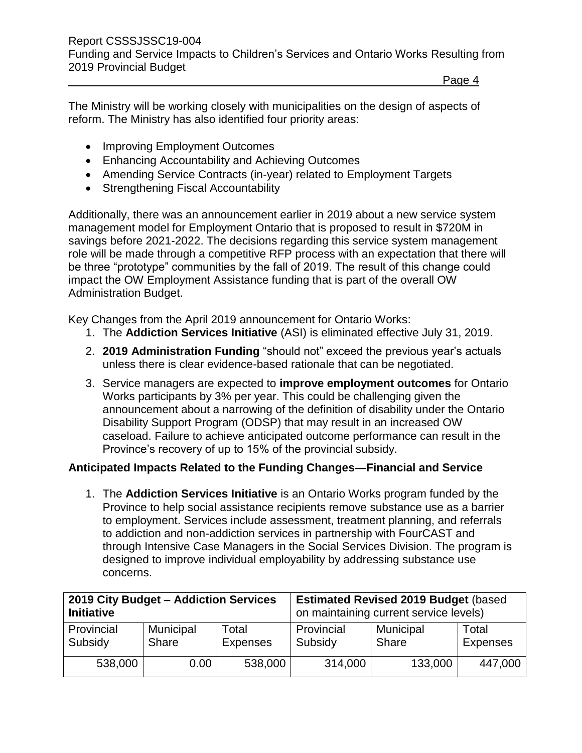The Ministry will be working closely with municipalities on the design of aspects of reform. The Ministry has also identified four priority areas:

- Improving Employment Outcomes
- Enhancing Accountability and Achieving Outcomes
- Amending Service Contracts (in-year) related to Employment Targets
- Strengthening Fiscal Accountability

Additionally, there was an announcement earlier in 2019 about a new service system management model for Employment Ontario that is proposed to result in \$720M in savings before 2021-2022. The decisions regarding this service system management role will be made through a competitive RFP process with an expectation that there will be three "prototype" communities by the fall of 2019. The result of this change could impact the OW Employment Assistance funding that is part of the overall OW Administration Budget.

Key Changes from the April 2019 announcement for Ontario Works:

- 1. The **Addiction Services Initiative** (ASI) is eliminated effective July 31, 2019.
- 2. **2019 Administration Funding** "should not" exceed the previous year's actuals unless there is clear evidence-based rationale that can be negotiated.
- 3. Service managers are expected to **improve employment outcomes** for Ontario Works participants by 3% per year. This could be challenging given the announcement about a narrowing of the definition of disability under the Ontario Disability Support Program (ODSP) that may result in an increased OW caseload. Failure to achieve anticipated outcome performance can result in the Province's recovery of up to 15% of the provincial subsidy.

## **Anticipated Impacts Related to the Funding Changes—Financial and Service**

1. The **Addiction Services Initiative** is an Ontario Works program funded by the Province to help social assistance recipients remove substance use as a barrier to employment. Services include assessment, treatment planning, and referrals to addiction and non-addiction services in partnership with FourCAST and through Intensive Case Managers in the Social Services Division. The program is designed to improve individual employability by addressing substance use concerns.

| 2019 City Budget - Addiction Services |                  |                 | <b>Estimated Revised 2019 Budget (based)</b> |                  |                 |
|---------------------------------------|------------------|-----------------|----------------------------------------------|------------------|-----------------|
| <b>Initiative</b>                     |                  |                 | on maintaining current service levels)       |                  |                 |
| Provincial                            | <b>Municipal</b> | Total           | Provincial                                   | <b>Municipal</b> | Total           |
| Subsidy                               | Share            | <b>Expenses</b> | Subsidy                                      | <b>Share</b>     | <b>Expenses</b> |
| 538,000                               | 0.00             | 538,000         | 314,000                                      | 133,000          | 447,000         |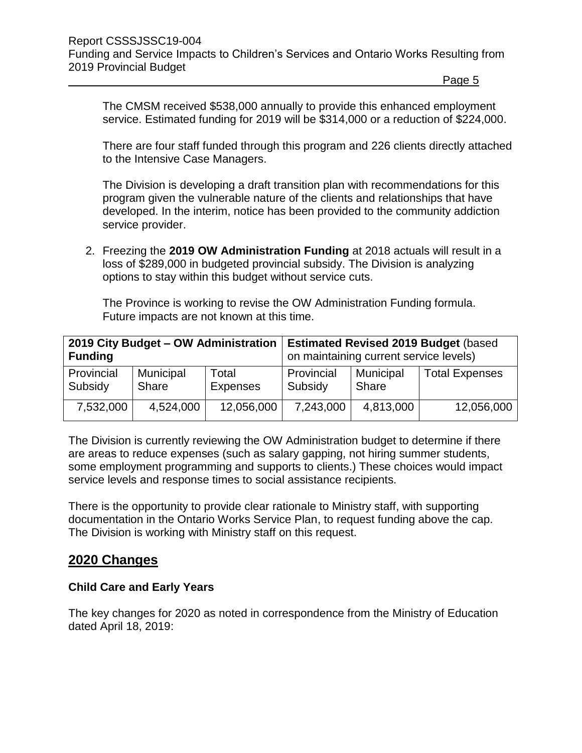The CMSM received \$538,000 annually to provide this enhanced employment service. Estimated funding for 2019 will be \$314,000 or a reduction of \$224,000.

There are four staff funded through this program and 226 clients directly attached to the Intensive Case Managers.

The Division is developing a draft transition plan with recommendations for this program given the vulnerable nature of the clients and relationships that have developed. In the interim, notice has been provided to the community addiction service provider.

2. Freezing the **2019 OW Administration Funding** at 2018 actuals will result in a loss of \$289,000 in budgeted provincial subsidy. The Division is analyzing options to stay within this budget without service cuts.

The Province is working to revise the OW Administration Funding formula. Future impacts are not known at this time.

| 2019 City Budget - OW Administration<br><b>Funding</b> |                                                |            | <b>Estimated Revised 2019 Budget (based)</b><br>on maintaining current service levels) |           |                       |
|--------------------------------------------------------|------------------------------------------------|------------|----------------------------------------------------------------------------------------|-----------|-----------------------|
| Provincial<br>Subsidy                                  | Total<br>Municipal<br>Share<br><b>Expenses</b> |            | Provincial<br>Municipal<br>Subsidy<br>Share                                            |           | <b>Total Expenses</b> |
| 7,532,000                                              | 4,524,000                                      | 12,056,000 | 7,243,000                                                                              | 4,813,000 | 12,056,000            |

The Division is currently reviewing the OW Administration budget to determine if there are areas to reduce expenses (such as salary gapping, not hiring summer students, some employment programming and supports to clients.) These choices would impact service levels and response times to social assistance recipients.

There is the opportunity to provide clear rationale to Ministry staff, with supporting documentation in the Ontario Works Service Plan, to request funding above the cap. The Division is working with Ministry staff on this request.

## **2020 Changes**

### **Child Care and Early Years**

The key changes for 2020 as noted in correspondence from the Ministry of Education dated April 18, 2019: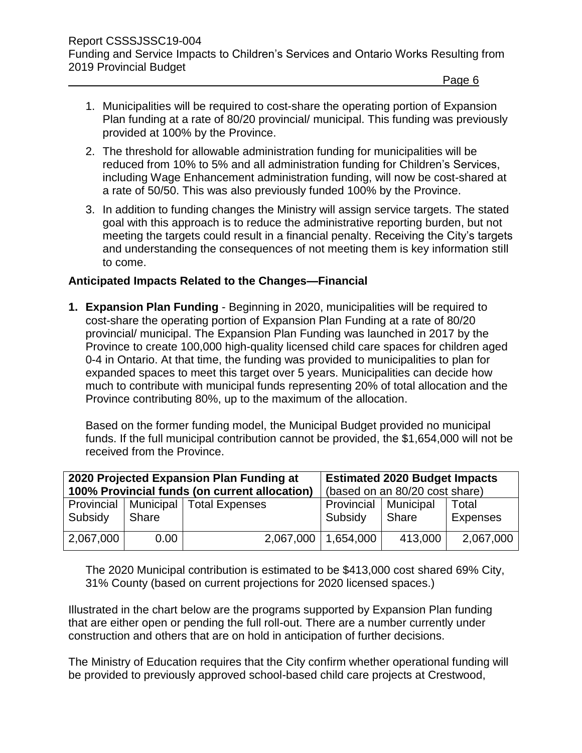- 1. Municipalities will be required to cost-share the operating portion of Expansion Plan funding at a rate of 80/20 provincial/ municipal. This funding was previously provided at 100% by the Province.
- 2. The threshold for allowable administration funding for municipalities will be reduced from 10% to 5% and all administration funding for Children's Services, including Wage Enhancement administration funding, will now be cost-shared at a rate of 50/50. This was also previously funded 100% by the Province.
- 3. In addition to funding changes the Ministry will assign service targets. The stated goal with this approach is to reduce the administrative reporting burden, but not meeting the targets could result in a financial penalty. Receiving the City's targets and understanding the consequences of not meeting them is key information still to come.

## **Anticipated Impacts Related to the Changes—Financial**

**1. Expansion Plan Funding** - Beginning in 2020, municipalities will be required to cost-share the operating portion of Expansion Plan Funding at a rate of 80/20 provincial/ municipal. The Expansion Plan Funding was launched in 2017 by the Province to create 100,000 high-quality licensed child care spaces for children aged 0-4 in Ontario. At that time, the funding was provided to municipalities to plan for expanded spaces to meet this target over 5 years. Municipalities can decide how much to contribute with municipal funds representing 20% of total allocation and the Province contributing 80%, up to the maximum of the allocation.

Based on the former funding model, the Municipal Budget provided no municipal funds. If the full municipal contribution cannot be provided, the \$1,654,000 will not be received from the Province.

| 2020 Projected Expansion Plan Funding at<br>100% Provincial funds (on current allocation) |       |                            | <b>Estimated 2020 Budget Impacts</b><br>(based on an 80/20 cost share) |         |                          |
|-------------------------------------------------------------------------------------------|-------|----------------------------|------------------------------------------------------------------------|---------|--------------------------|
| Provincial<br>Subsidy                                                                     | Share | Municipal   Total Expenses | Provincial   Municipal<br>Subsidy                                      | Share   | Total<br><b>Expenses</b> |
| 2,067,000                                                                                 | 0.00  | 2,067,000                  | 1,654,000                                                              | 413,000 | 2,067,000                |

The 2020 Municipal contribution is estimated to be \$413,000 cost shared 69% City, 31% County (based on current projections for 2020 licensed spaces.)

Illustrated in the chart below are the programs supported by Expansion Plan funding that are either open or pending the full roll-out. There are a number currently under construction and others that are on hold in anticipation of further decisions.

The Ministry of Education requires that the City confirm whether operational funding will be provided to previously approved school-based child care projects at Crestwood,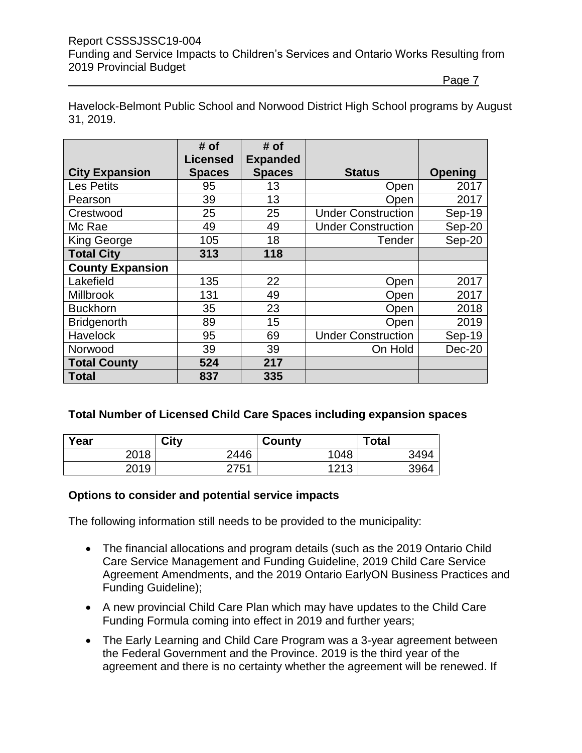### Report CSSSJSSC19-004 Funding and Service Impacts to Children's Services and Ontario Works Resulting from 2019 Provincial Budget

Page 7

Havelock-Belmont Public School and Norwood District High School programs by August 31, 2019.

|                         | # of            | # of            |                           |                |
|-------------------------|-----------------|-----------------|---------------------------|----------------|
|                         | <b>Licensed</b> | <b>Expanded</b> |                           |                |
| <b>City Expansion</b>   | <b>Spaces</b>   | <b>Spaces</b>   | <b>Status</b>             | <b>Opening</b> |
| <b>Les Petits</b>       | 95              | 13              | Open                      | 2017           |
| Pearson                 | 39              | 13              | Open                      | 2017           |
| Crestwood               | 25              | 25              | <b>Under Construction</b> | Sep-19         |
| Mc Rae                  | 49              | 49              | <b>Under Construction</b> | Sep-20         |
| <b>King George</b>      | 105             | 18              | Tender                    | Sep-20         |
| <b>Total City</b>       | 313             | 118             |                           |                |
| <b>County Expansion</b> |                 |                 |                           |                |
| Lakefield               | 135             | 22              | Open                      | 2017           |
| <b>Millbrook</b>        | 131             | 49              | Open                      | 2017           |
| <b>Buckhorn</b>         | 35              | 23              | Open                      | 2018           |
| <b>Bridgenorth</b>      | 89              | 15              | Open                      | 2019           |
| Havelock                | 95              | 69              | <b>Under Construction</b> | Sep-19         |
| Norwood                 | 39              | 39              | On Hold                   | $Dec-20$       |
| <b>Total County</b>     | 524             | 217             |                           |                |
| <b>Total</b>            | 837             | 335             |                           |                |

## **Total Number of Licensed Child Care Spaces including expansion spaces**

| Year | City          | County        | Total |
|------|---------------|---------------|-------|
| 2018 | 2446          | 1048          | 3494  |
| 2019 | 2754<br>ں ، ے | 1010<br>2 I J | 3964  |

### **Options to consider and potential service impacts**

The following information still needs to be provided to the municipality:

- The financial allocations and program details (such as the 2019 Ontario Child Care Service Management and Funding Guideline, 2019 Child Care Service Agreement Amendments, and the 2019 Ontario EarlyON Business Practices and Funding Guideline);
- A new provincial Child Care Plan which may have updates to the Child Care Funding Formula coming into effect in 2019 and further years;
- The Early Learning and Child Care Program was a 3-year agreement between the Federal Government and the Province. 2019 is the third year of the agreement and there is no certainty whether the agreement will be renewed. If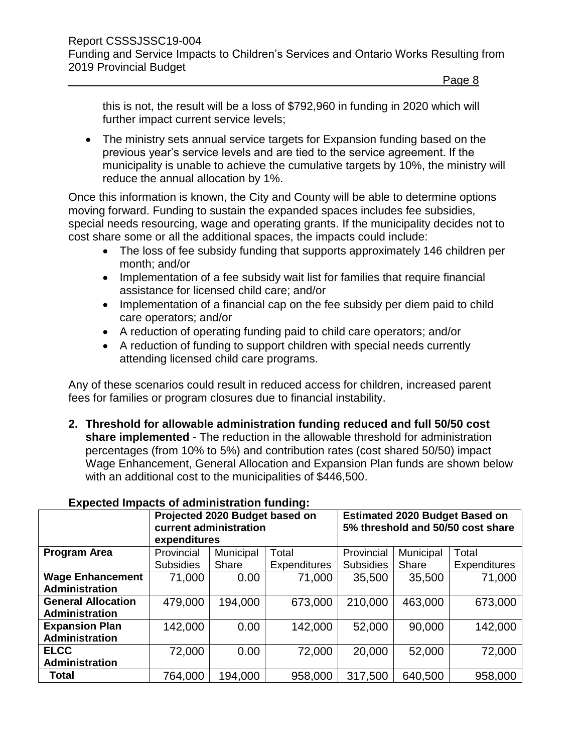this is not, the result will be a loss of \$792,960 in funding in 2020 which will further impact current service levels;

• The ministry sets annual service targets for Expansion funding based on the previous year's service levels and are tied to the service agreement. If the municipality is unable to achieve the cumulative targets by 10%, the ministry will reduce the annual allocation by 1%.

Once this information is known, the City and County will be able to determine options moving forward. Funding to sustain the expanded spaces includes fee subsidies, special needs resourcing, wage and operating grants. If the municipality decides not to cost share some or all the additional spaces, the impacts could include:

- The loss of fee subsidy funding that supports approximately 146 children per month; and/or
- Implementation of a fee subsidy wait list for families that require financial assistance for licensed child care; and/or
- Implementation of a financial cap on the fee subsidy per diem paid to child care operators; and/or
- A reduction of operating funding paid to child care operators; and/or
- A reduction of funding to support children with special needs currently attending licensed child care programs.

Any of these scenarios could result in reduced access for children, increased parent fees for families or program closures due to financial instability.

**2. Threshold for allowable administration funding reduced and full 50/50 cost share implemented** - The reduction in the allowable threshold for administration percentages (from 10% to 5%) and contribution rates (cost shared 50/50) impact Wage Enhancement, General Allocation and Expansion Plan funds are shown below with an additional cost to the municipalities of \$446,500.

| LADCORG MIDAGO OF AGMINISH ANON TANGHIG.         |                                                                          |           |                     |                  |           |                                                                            |  |
|--------------------------------------------------|--------------------------------------------------------------------------|-----------|---------------------|------------------|-----------|----------------------------------------------------------------------------|--|
|                                                  | Projected 2020 Budget based on<br>current administration<br>expenditures |           |                     |                  |           | <b>Estimated 2020 Budget Based on</b><br>5% threshold and 50/50 cost share |  |
| <b>Program Area</b>                              | Provincial                                                               | Municipal | Total               | Provincial       | Municipal | Total                                                                      |  |
|                                                  | <b>Subsidies</b>                                                         | Share     | <b>Expenditures</b> | <b>Subsidies</b> | Share     | <b>Expenditures</b>                                                        |  |
| <b>Wage Enhancement</b><br><b>Administration</b> | 71,000                                                                   | 0.00      | 71,000              | 35,500           | 35,500    | 71,000                                                                     |  |
| <b>General Allocation</b><br>Administration      | 479,000                                                                  | 194,000   | 673,000             | 210,000          | 463,000   | 673,000                                                                    |  |
| <b>Expansion Plan</b><br>Administration          | 142,000                                                                  | 0.00      | 142,000             | 52,000           | 90,000    | 142,000                                                                    |  |
| <b>ELCC</b><br>Administration                    | 72,000                                                                   | 0.00      | 72,000              | 20,000           | 52,000    | 72,000                                                                     |  |
| <b>Total</b>                                     | 764,000                                                                  | 194,000   | 958,000             | 317,500          | 640,500   | 958,000                                                                    |  |

## **Expected Impacts of administration funding:**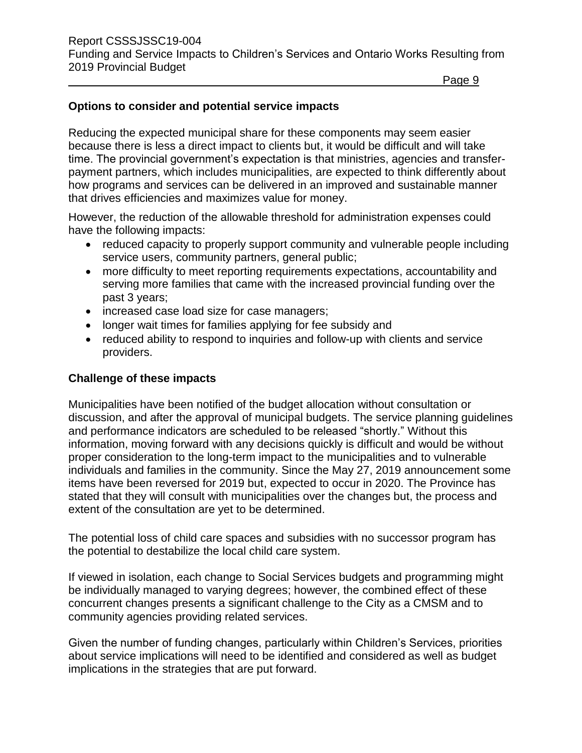### **Options to consider and potential service impacts**

Reducing the expected municipal share for these components may seem easier because there is less a direct impact to clients but, it would be difficult and will take time. The provincial government's expectation is that ministries, agencies and transferpayment partners, which includes municipalities, are expected to think differently about how programs and services can be delivered in an improved and sustainable manner that drives efficiencies and maximizes value for money.

However, the reduction of the allowable threshold for administration expenses could have the following impacts:

- reduced capacity to properly support community and vulnerable people including service users, community partners, general public;
- more difficulty to meet reporting requirements expectations, accountability and serving more families that came with the increased provincial funding over the past 3 years;
- increased case load size for case managers;
- longer wait times for families applying for fee subsidy and
- reduced ability to respond to inquiries and follow-up with clients and service providers.

### **Challenge of these impacts**

Municipalities have been notified of the budget allocation without consultation or discussion, and after the approval of municipal budgets. The service planning guidelines and performance indicators are scheduled to be released "shortly." Without this information, moving forward with any decisions quickly is difficult and would be without proper consideration to the long-term impact to the municipalities and to vulnerable individuals and families in the community. Since the May 27, 2019 announcement some items have been reversed for 2019 but, expected to occur in 2020. The Province has stated that they will consult with municipalities over the changes but, the process and extent of the consultation are yet to be determined.

The potential loss of child care spaces and subsidies with no successor program has the potential to destabilize the local child care system.

If viewed in isolation, each change to Social Services budgets and programming might be individually managed to varying degrees; however, the combined effect of these concurrent changes presents a significant challenge to the City as a CMSM and to community agencies providing related services.

Given the number of funding changes, particularly within Children's Services, priorities about service implications will need to be identified and considered as well as budget implications in the strategies that are put forward.